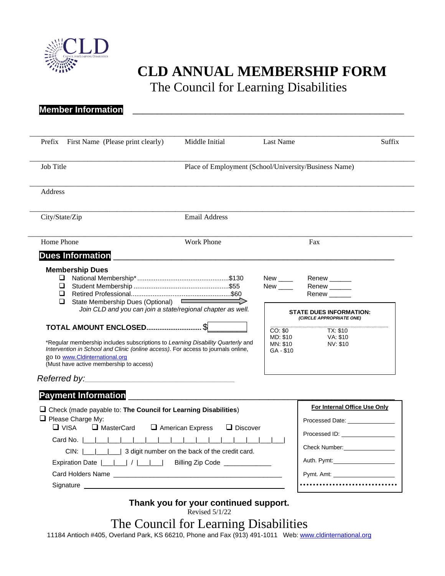

**Member Information** 

## **CLD ANNUAL MEMBERSHIP FORM**

The Council for Learning Disabilities

| Prefix First Name (Please print clearly)                                                                                                                                                                                                                                                                                                                       | Middle Initial                                        | Last Name                                                                                          | Suffix                                                                                                                         |
|----------------------------------------------------------------------------------------------------------------------------------------------------------------------------------------------------------------------------------------------------------------------------------------------------------------------------------------------------------------|-------------------------------------------------------|----------------------------------------------------------------------------------------------------|--------------------------------------------------------------------------------------------------------------------------------|
| Job Title                                                                                                                                                                                                                                                                                                                                                      | Place of Employment (School/University/Business Name) |                                                                                                    |                                                                                                                                |
| <b>Address</b>                                                                                                                                                                                                                                                                                                                                                 |                                                       |                                                                                                    |                                                                                                                                |
| City/State/Zip                                                                                                                                                                                                                                                                                                                                                 | <b>Email Address</b>                                  |                                                                                                    |                                                                                                                                |
| Home Phone                                                                                                                                                                                                                                                                                                                                                     | <b>Work Phone</b>                                     |                                                                                                    | Fax                                                                                                                            |
| Dues Information<br>experience of the contract of the contract of the contract of the contract of the contract of the contract of                                                                                                                                                                                                                              |                                                       |                                                                                                    |                                                                                                                                |
| State Membership Dues (Optional)<br>$\Box$<br>Join CLD and you can join a state/regional chapter as well.<br>*Regular membership includes subscriptions to Learning Disability Quarterly and<br>Intervention in School and Clinic (online access). For access to journals online,<br>go to www.Cldinternational.org<br>(Must have active membership to access) |                                                       | New<br>CO: \$0<br>MD: \$10<br>MN: \$10<br>GA - \$10                                                | Renew ______<br>Renew<br><b>STATE DUES INFORMATION:</b><br>(CIRCLE APPROPRIATE ONE)<br><b>TX: \$10</b><br>VA: \$10<br>NV: \$10 |
| <b>Payment Information</b>                                                                                                                                                                                                                                                                                                                                     |                                                       |                                                                                                    |                                                                                                                                |
| $\Box$ Check (made payable to: The Council for Learning Disabilities)<br>$\Box$ Please Charge My:<br>$\Box$ VISA<br>$\Box$ MasterCard<br>$\Box$ American Express<br>$\Box$ Discover<br>Card No.                                                                                                                                                                |                                                       | For Internal Office Use Only<br>Processed Date: _______________<br>Processed ID: _________________ |                                                                                                                                |
| CIN: $\left  \begin{array}{c} \begin{array}{c} \end{array} \end{array} \right $ 3 digit number on the back of the credit card.<br>Expiration Date $\begin{bmatrix} 1 & 1 \\ 1 & 1 \end{bmatrix}$ / $\begin{bmatrix} 1 & 1 \\ 1 & 1 \end{bmatrix}$<br>Billing Zip Code ______________                                                                           |                                                       |                                                                                                    | Check Number: _________________                                                                                                |
|                                                                                                                                                                                                                                                                                                                                                                |                                                       |                                                                                                    |                                                                                                                                |

## **Thank you for your continued support.**

| Revised 5/1/22 |  |
|----------------|--|
|                |  |

## The Council for Learning Disabilities

11184 Antioch #405, Overland Park, KS 66210, Phone and Fax (913) 491-1011 Web: [www.cldinternational.org](http://www.cldinternational.org/)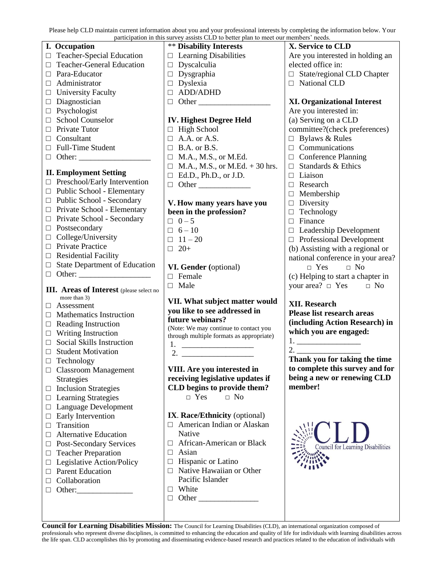Please help CLD maintain current information about you and your professional interests by completing the information below. Your

| participation in this survey assists CLD to better plan to meet our members' needs. |                                                 |                                                                                                                                                                                                                                          |                                          |  |  |
|-------------------------------------------------------------------------------------|-------------------------------------------------|------------------------------------------------------------------------------------------------------------------------------------------------------------------------------------------------------------------------------------------|------------------------------------------|--|--|
|                                                                                     | I. Occupation                                   | <b>** Disability Interests</b>                                                                                                                                                                                                           | X. Service to CLD                        |  |  |
|                                                                                     | $\Box$ Teacher-Special Education                | $\Box$ Learning Disabilities                                                                                                                                                                                                             | Are you interested in holding an         |  |  |
| □                                                                                   | <b>Teacher-General Education</b>                | $\Box$ Dyscalculia                                                                                                                                                                                                                       | elected office in:                       |  |  |
| П.                                                                                  | Para-Educator                                   | $\Box$ Dysgraphia                                                                                                                                                                                                                        | $\Box$ State/regional CLD Chapter        |  |  |
| $\Box$                                                                              | Administrator                                   | $\Box$ Dyslexia                                                                                                                                                                                                                          | □ National CLD                           |  |  |
| $\Box$                                                                              | <b>University Faculty</b>                       | $\Box$ ADD/ADHD                                                                                                                                                                                                                          |                                          |  |  |
| $\Box$                                                                              | Diagnostician                                   | $\Box$ Other                                                                                                                                                                                                                             | <b>XI. Organizational Interest</b>       |  |  |
| $\Box$                                                                              | Psychologist                                    |                                                                                                                                                                                                                                          | Are you interested in:                   |  |  |
| $\Box$                                                                              | School Counselor                                | <b>IV. Highest Degree Held</b>                                                                                                                                                                                                           | (a) Serving on a CLD                     |  |  |
|                                                                                     | Private Tutor                                   | $\Box$ High School                                                                                                                                                                                                                       | committee?(check preferences)            |  |  |
|                                                                                     | Consultant                                      | $\Box$ A.A. or A.S.                                                                                                                                                                                                                      | $\Box$ Bylaws & Rules                    |  |  |
|                                                                                     | Full-Time Student                               | $\Box$ B.A. or B.S.                                                                                                                                                                                                                      | $\Box$ Communications                    |  |  |
| $\Box$                                                                              |                                                 | $\Box$ M.A., M.S., or M.Ed.                                                                                                                                                                                                              | $\Box$ Conference Planning               |  |  |
|                                                                                     |                                                 | $\Box$ M.A., M.S., or M.Ed. + 30 hrs.                                                                                                                                                                                                    | $\Box$ Standards & Ethics                |  |  |
|                                                                                     | <b>II. Employment Setting</b>                   | $\Box$ Ed.D., Ph.D., or J.D.                                                                                                                                                                                                             | $\Box$ Liaison                           |  |  |
|                                                                                     | $\Box$ Preschool/Early Intervention             | $\Box$ Other                                                                                                                                                                                                                             | $\Box$ Research                          |  |  |
| $\Box$                                                                              | Public School - Elementary                      |                                                                                                                                                                                                                                          | $\Box$ Membership                        |  |  |
| $\Box$                                                                              | Public School - Secondary                       | V. How many years have you                                                                                                                                                                                                               | $\Box$ Diversity                         |  |  |
| $\Box$                                                                              | Private School - Elementary                     | been in the profession?                                                                                                                                                                                                                  | Technology<br>$\Box$                     |  |  |
| $\Box$                                                                              | Private School - Secondary                      | $\Box$ 0-5                                                                                                                                                                                                                               | $\Box$ Finance                           |  |  |
|                                                                                     | $\Box$ Postsecondary                            | $\Box$ 6 - 10                                                                                                                                                                                                                            | $\Box$ Leadership Development            |  |  |
| $\Box$                                                                              | College/University                              | $\Box$ 11 - 20                                                                                                                                                                                                                           | $\Box$ Professional Development          |  |  |
| $\Box$                                                                              | Private Practice                                | $\Box$ 20+                                                                                                                                                                                                                               | (b) Assisting with a regional or         |  |  |
| $\Box$                                                                              | <b>Residential Facility</b>                     |                                                                                                                                                                                                                                          | national conference in your area?        |  |  |
| $\Box$                                                                              | <b>State Department of Education</b>            | VI. Gender (optional)                                                                                                                                                                                                                    |                                          |  |  |
|                                                                                     |                                                 |                                                                                                                                                                                                                                          |                                          |  |  |
| $\Box$                                                                              | Other: $\qquad \qquad$                          |                                                                                                                                                                                                                                          | $\Box$ Yes<br>$\Box$ No                  |  |  |
|                                                                                     |                                                 | $\Box$ Female                                                                                                                                                                                                                            | (c) Helping to start a chapter in        |  |  |
|                                                                                     | <b>III.</b> Areas of Interest (please select no | $\Box$ Male                                                                                                                                                                                                                              | your area? $\Box$ Yes $\Box$ No          |  |  |
|                                                                                     | more than 3)                                    | VII. What subject matter would                                                                                                                                                                                                           |                                          |  |  |
| ⊔ -                                                                                 | Assessment                                      | you like to see addressed in                                                                                                                                                                                                             | <b>XII. Research</b>                     |  |  |
| $\Box$                                                                              | <b>Mathematics Instruction</b>                  | future webinars?                                                                                                                                                                                                                         | Please list research areas               |  |  |
|                                                                                     | $\Box$ Reading Instruction                      | (Note: We may continue to contact you                                                                                                                                                                                                    | (including Action Research) in           |  |  |
| $\Box$                                                                              | <b>Writing Instruction</b>                      | through multiple formats as appropriate)                                                                                                                                                                                                 | which you are engaged:                   |  |  |
|                                                                                     | Social Skills Instruction                       | 1.                                                                                                                                                                                                                                       |                                          |  |  |
| $\Box$                                                                              | <b>Student Motivation</b>                       | 2.                                                                                                                                                                                                                                       | $\frac{2}{\sqrt{2}}$                     |  |  |
|                                                                                     | Technology                                      |                                                                                                                                                                                                                                          | Thank you for taking the time            |  |  |
|                                                                                     | $\Box$ Classroom Management                     | VIII. Are you interested in                                                                                                                                                                                                              | to complete this survey and for          |  |  |
|                                                                                     | <b>Strategies</b>                               | receiving legislative updates if                                                                                                                                                                                                         | being a new or renewing CLD              |  |  |
| $\Box$                                                                              | <b>Inclusion Strategies</b>                     | CLD begins to provide them?                                                                                                                                                                                                              | member!                                  |  |  |
|                                                                                     | $\Box$ Learning Strategies                      | $\Box$ Yes<br>$\Box$ No                                                                                                                                                                                                                  |                                          |  |  |
|                                                                                     | $\Box$ Language Development                     |                                                                                                                                                                                                                                          |                                          |  |  |
| ⊔                                                                                   | Early Intervention                              | IX. Race/Ethnicity (optional)                                                                                                                                                                                                            |                                          |  |  |
| $\Box$                                                                              | Transition                                      | $\Box$ American Indian or Alaskan                                                                                                                                                                                                        |                                          |  |  |
|                                                                                     | <b>Alternative Education</b>                    | Native                                                                                                                                                                                                                                   |                                          |  |  |
| $\Box$                                                                              | Post-Secondary Services                         | African-American or Black<br>⊔                                                                                                                                                                                                           | <b>Council for Learning Disabilities</b> |  |  |
| $\Box$                                                                              | <b>Teacher Preparation</b>                      | Asian<br>□                                                                                                                                                                                                                               |                                          |  |  |
| $\Box$                                                                              | Legislative Action/Policy                       | Hispanic or Latino<br>$\Box$                                                                                                                                                                                                             |                                          |  |  |
| $\Box$                                                                              | <b>Parent Education</b>                         | Native Hawaiian or Other<br>П.                                                                                                                                                                                                           |                                          |  |  |
| $\Box$                                                                              | Collaboration                                   | Pacific Islander                                                                                                                                                                                                                         |                                          |  |  |
|                                                                                     | Other: $\sqrt{\frac{2}{1-\frac{1}{2}}$          | White<br>$\Box$                                                                                                                                                                                                                          |                                          |  |  |
|                                                                                     |                                                 | <b>Other</b> contracts the contract of the contract of the contract of the contract of the contract of the contract of the contract of the contract of the contract of the contract of the contract of the contract of the contract<br>□ |                                          |  |  |

**Council for Learning Disabilities Mission:** The Council for Learning Disabilities (CLD), an international organization composed of professionals who represent diverse disciplines, is committed to enhancing the education and quality of life for individuals with learning disabilities across the life span. CLD accomplishes this by promoting and disseminating evidence-based research and practices related to the education of individuals with